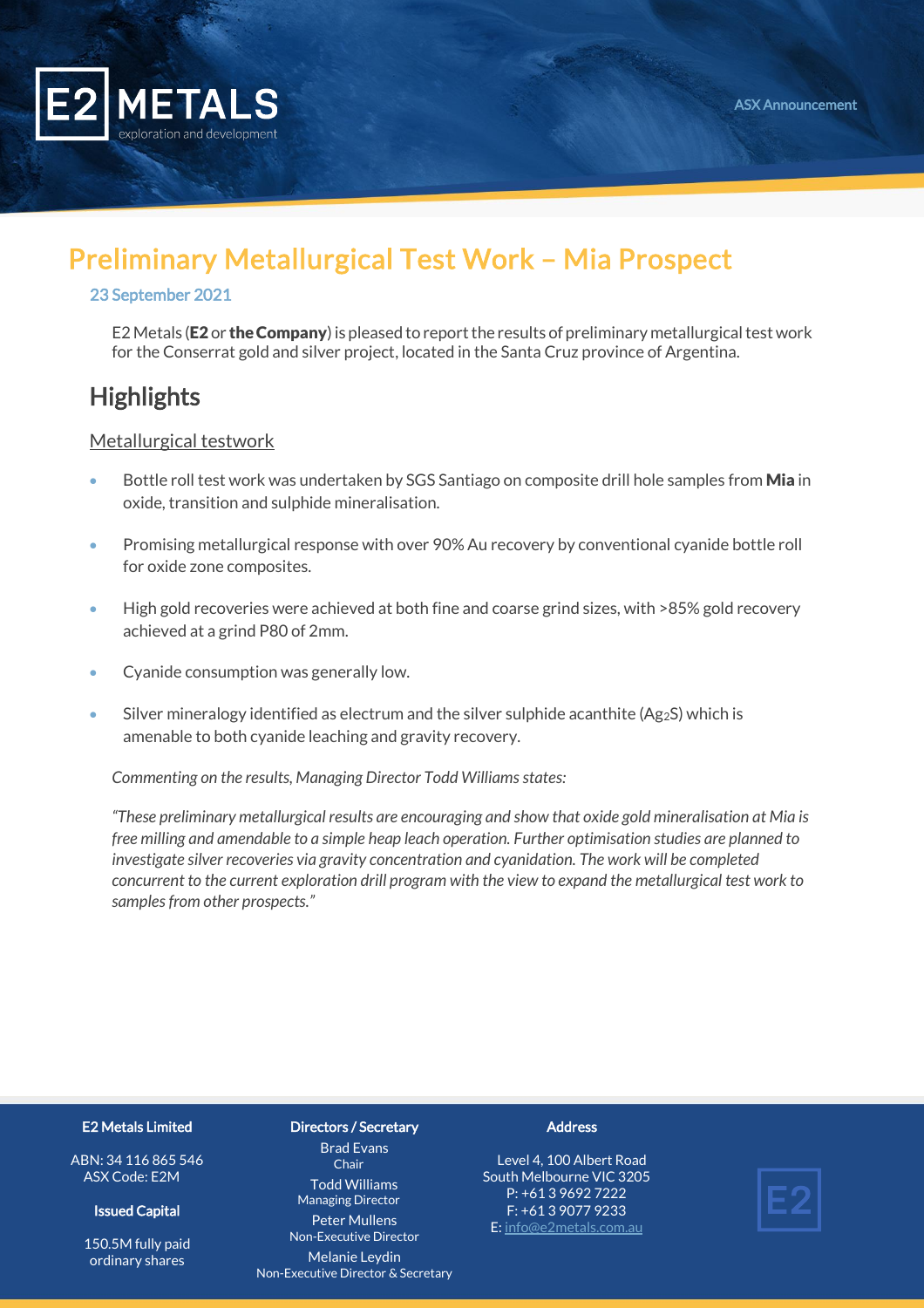

# Preliminary Metallurgical Test Work – Mia Prospect

#### 23 September 2021

E2 Metals (E2 or the Company) is pleased to report the results of preliminary metallurgical test work for the Conserrat gold and silver project, located in the Santa Cruz province of Argentina.

### **Highlights**

Metallurgical testwork

- Bottle roll test work was undertaken by SGS Santiago on composite drill hole samples from **Mia** in oxide, transition and sulphide mineralisation.
- Promising metallurgical response with over 90% Au recovery by conventional cyanide bottle roll for oxide zone composites.
- High gold recoveries were achieved at both fine and coarse grind sizes, with >85% gold recovery achieved at a grind P80 of 2mm.
- Cyanide consumption was generally low.
- Silver mineralogy identified as electrum and the silver sulphide acanthite  $(Ag_2S)$  which is amenable to both cyanide leaching and gravity recovery.

*Commenting on the results, Managing Director Todd Williams states:*

*"These preliminary metallurgical results are encouraging and show that oxide gold mineralisation at Mia is free milling and amendable to a simple heap leach operation. Further optimisation studies are planned to investigate silver recoveries via gravity concentration and cyanidation. The work will be completed concurrent to the current exploration drill program with the view to expand the metallurgical test work to samples from other prospects."*

#### E2 Metals Limited

ABN: 34 116 865 546 ASX Code: E2M

#### Issued Capital

150.5M fully paid ordinary shares

#### Directors / Secretary

Brad Evans Chair Todd Williams Managing Director

Peter Mullens Non-Executive Director Melanie Leydin Non-Executive Director & Secretary

#### **Address**

Level 4, 100 Albert Road South Melbourne VIC 3205 P: +61 3 9692 7222 F: +61 3 9077 9233 E[: info@e2metals.com.au](mailto:info@e2metals.com.au)

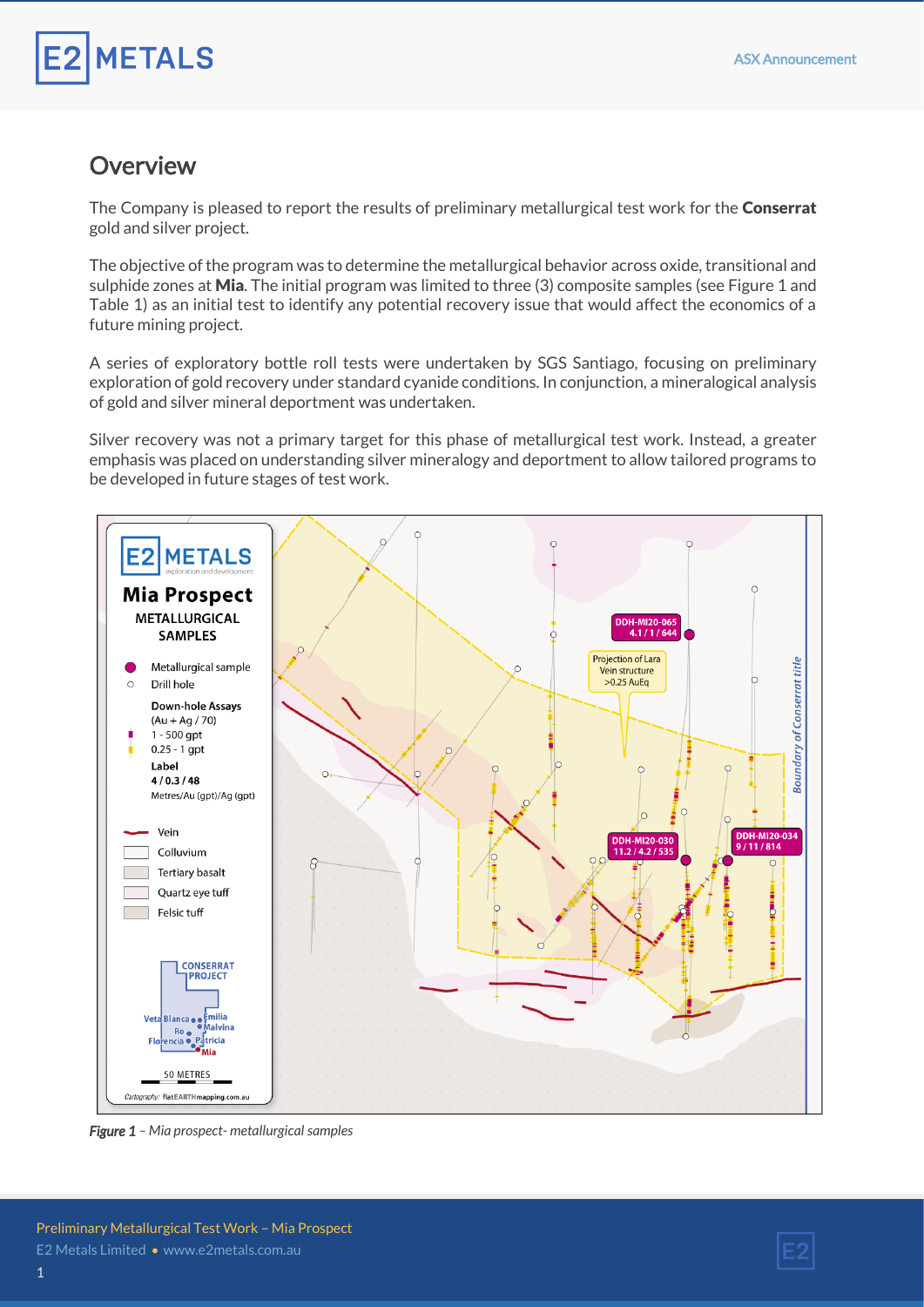# **METALS**

### **Overview**

The Company is pleased to report the results of preliminary metallurgical test work for the **Conserrat** gold and silver project.

The objective of the program was to determine the metallurgical behavior across oxide, transitional and sulphide zones at **Mia.** The initial program was limited to three (3) composite samples (see Figure 1 and Table 1) as an initial test to identify any potential recovery issue that would affect the economics of a future mining project.

A series of exploratory bottle roll tests were undertaken by SGS Santiago, focusing on preliminary exploration of gold recovery under standard cyanide conditions. In conjunction, a mineralogical analysis of gold and silver mineral deportment was undertaken.

Silver recovery was not a primary target for this phase of metallurgical test work. Instead, a greater emphasis was placed on understanding silver mineralogy and deportment to allow tailored programs to be developed in future stages of test work.



*Figure 1 – Mia prospect- metallurgical samples* 

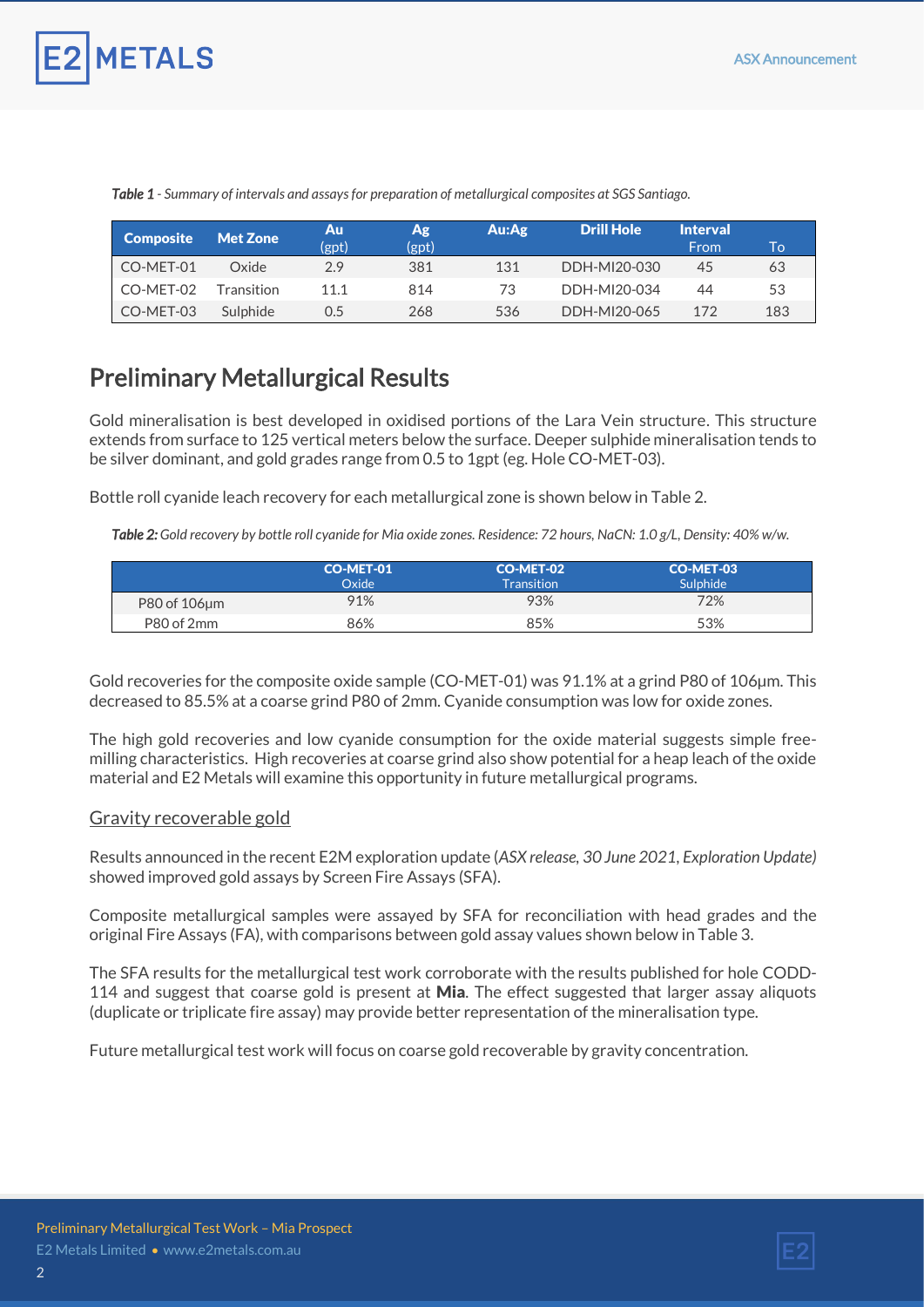

| <b>Composite</b> | <b>Met Zone</b> | Au<br>(gpt) | Ag<br>(gpt) | Au:Ag | <b>Drill Hole</b> | <b>Interval</b><br>From | To' |
|------------------|-----------------|-------------|-------------|-------|-------------------|-------------------------|-----|
| CO-MET-01        | Oxide           | 2.9         | 381         | 131   | DDH-MI20-030      | 45                      | 63  |
|                  |                 |             |             |       |                   |                         |     |
| CO-MET-02        | Transition      | 11.1        | 814         | 73    | DDH-MI20-034      | 44                      | 53  |
| CO-MET-03        | Sulphide        | 0.5         | 268         | 536   | DDH-MI20-065      | 172                     | 183 |

*Table 1 - Summary of intervals and assays for preparation of metallurgical composites at SGS Santiago.*

### Preliminary Metallurgical Results

Gold mineralisation is best developed in oxidised portions of the Lara Vein structure. This structure extends from surface to 125 vertical meters below the surface. Deeper sulphide mineralisation tends to be silver dominant, and gold grades range from 0.5 to 1gpt (eg. Hole CO-MET-03).

Bottle roll cyanide leach recovery for each metallurgical zone is shown below in Table 2.

*Table 2: Gold recovery by bottle roll cyanide for Mia oxide zones. Residence: 72 hours, NaCN: 1.0 g/L, Density: 40% w/w.*

|              | CO-MET-01<br>Oxide | CO-MET-02<br><b>Transition</b> | CO-MET-03<br>Sulphide <sup>1</sup> |
|--------------|--------------------|--------------------------------|------------------------------------|
| P80 of 106um | 91%                | 93%                            | 72%                                |
| P80 of 2mm   | 86%                | 85%                            | 53%                                |

Gold recoveries for the composite oxide sample (CO-MET-01) was 91.1% at a grind P80 of 106µm. This decreased to 85.5% at a coarse grind P80 of 2mm. Cyanide consumption was low for oxide zones.

The high gold recoveries and low cyanide consumption for the oxide material suggests simple freemilling characteristics. High recoveries at coarse grind also show potential for a heap leach of the oxide material and E2 Metals will examine this opportunity in future metallurgical programs.

#### Gravity recoverable gold

Results announced in the recent E2M exploration update (*ASX release, 30 June 2021, Exploration Update)* showed improved gold assays by Screen Fire Assays (SFA).

Composite metallurgical samples were assayed by SFA for reconciliation with head grades and the original Fire Assays (FA), with comparisons between gold assay values shown below in Table 3.

The SFA results for the metallurgical test work corroborate with the results published for hole CODD-114 and suggest that coarse gold is present at Mia. The effect suggested that larger assay aliquots (duplicate or triplicate fire assay) may provide better representation of the mineralisation type.

Future metallurgical test work will focus on coarse gold recoverable by gravity concentration.

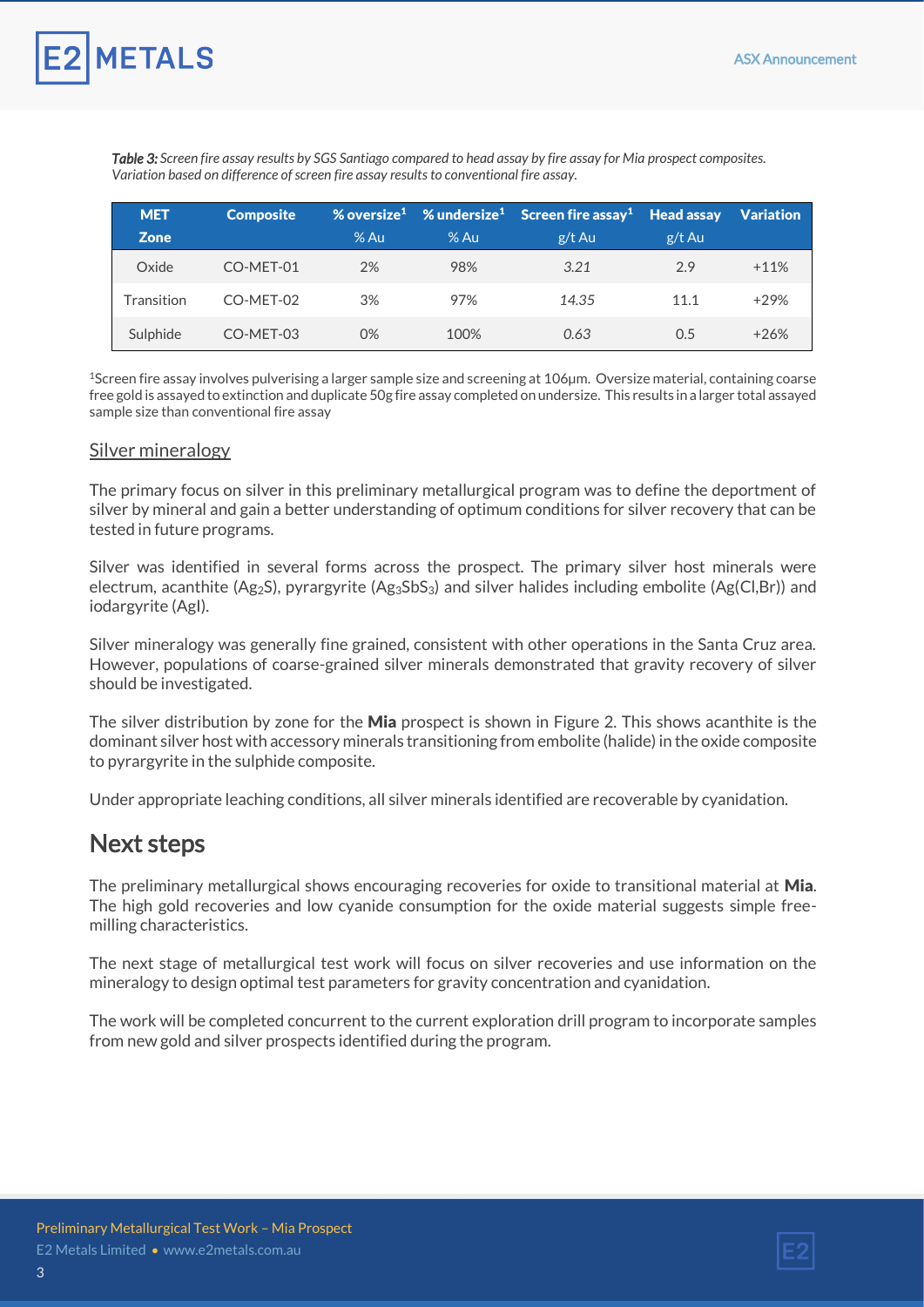

*Table 3: Screen fire assay results by SGS Santiago compared to head assay by fire assay for Mia prospect composites. Variation based on difference of screen fire assay results to conventional fire assay.*

| <b>MET</b>  | <b>Composite</b> |        |        | % oversize <sup>1</sup> % undersize <sup>1</sup> Screen fire assay <sup>1</sup> Head assay Variation |        |        |
|-------------|------------------|--------|--------|------------------------------------------------------------------------------------------------------|--------|--------|
| <b>Zone</b> |                  | $%$ Au | $%$ Au | $g/t$ Au                                                                                             | g/t Au |        |
| Oxide       | CO-MET-01        | 2%     | 98%    | 3.21                                                                                                 | 2.9    | $+11%$ |
| Transition  | CO-MET-02        | 3%     | 97%    | 14.35                                                                                                | 11.1   | $+29%$ |
| Sulphide    | CO-MET-03        | 0%     | 100%   | 0.63                                                                                                 | 0.5    | $+26%$ |

<sup>1</sup>Screen fire assay involves pulverising a larger sample size and screening at 106µm. Oversize material, containing coarse free gold is assayed to extinction and duplicate 50g fire assay completed on undersize. This results in a larger total assayed sample size than conventional fire assay

#### Silver mineralogy

The primary focus on silver in this preliminary metallurgical program was to define the deportment of silver by mineral and gain a better understanding of optimum conditions for silver recovery that can be tested in future programs.

Silver was identified in several forms across the prospect. The primary silver host minerals were electrum, acanthite (Ag2S), pyrargyrite (Ag3SbS3) and silver halides including embolite (Ag(Cl,Br)) and iodargyrite (AgI).

Silver mineralogy was generally fine grained, consistent with other operations in the Santa Cruz area. However, populations of coarse-grained silver minerals demonstrated that gravity recovery of silver should be investigated.

The silver distribution by zone for the **Mia** prospect is shown in Figure 2. This shows acanthite is the dominant silver host with accessory minerals transitioning from embolite (halide) in the oxide composite to pyrargyrite in the sulphide composite.

Under appropriate leaching conditions, all silver minerals identified are recoverable by cyanidation.

### Next steps

The preliminary metallurgical shows encouraging recoveries for oxide to transitional material at Mia. The high gold recoveries and low cyanide consumption for the oxide material suggests simple freemilling characteristics.

The next stage of metallurgical test work will focus on silver recoveries and use information on the mineralogy to design optimal test parameters for gravity concentration and cyanidation.

The work will be completed concurrent to the current exploration drill program to incorporate samples from new gold and silver prospects identified during the program.

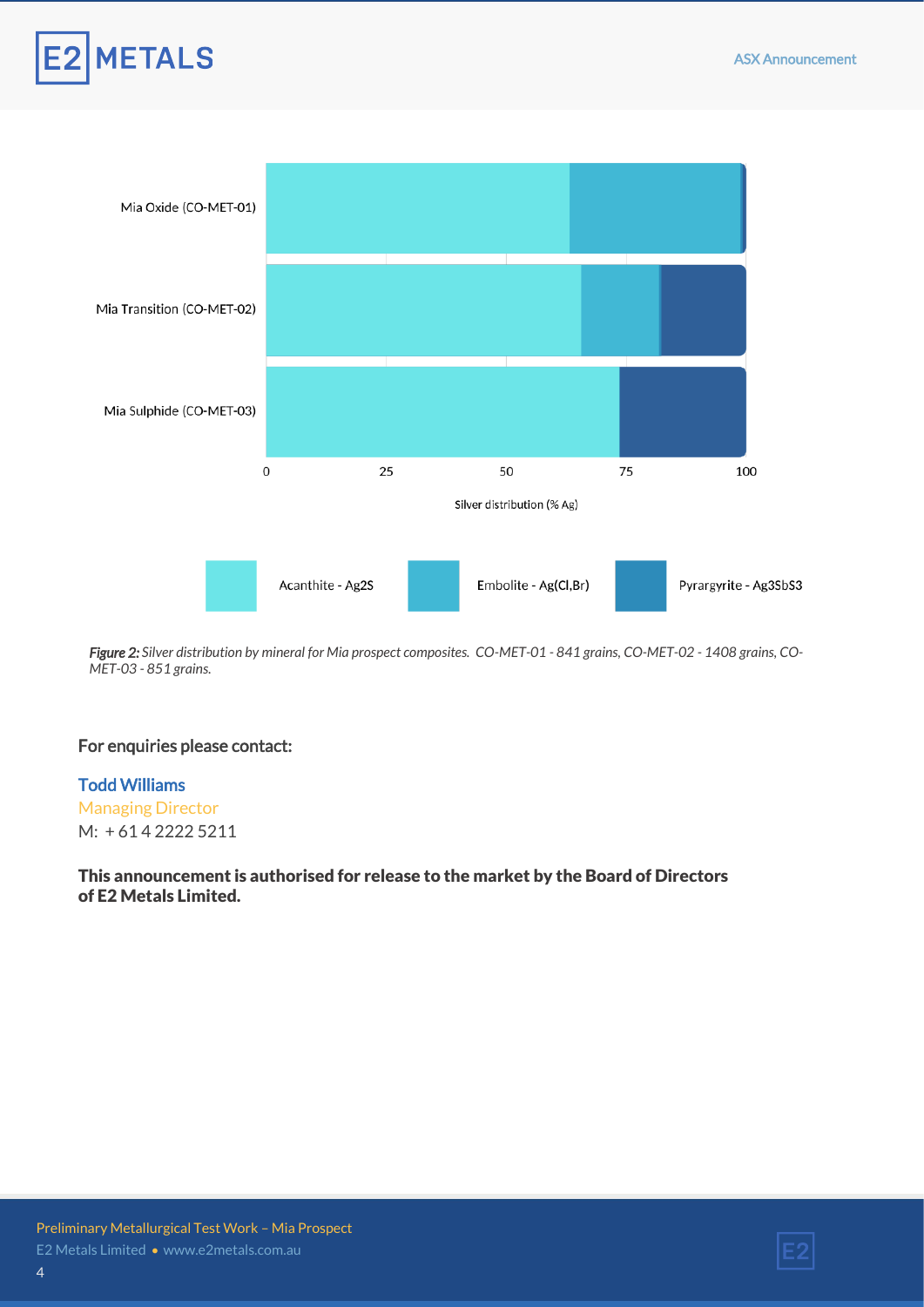



*Figure 2: Silver distribution by mineral for Mia prospect composites. CO-MET-01 - 841 grains, CO-MET-02 - 1408 grains, CO-MET-03 - 851 grains.* 

#### For enquiries please contact:

#### Todd Williams

Managing Director M: + 61 4 2222 5211

#### This announcement is authorised for release to the market by the Board of Directors of E2 Metals Limited.

4

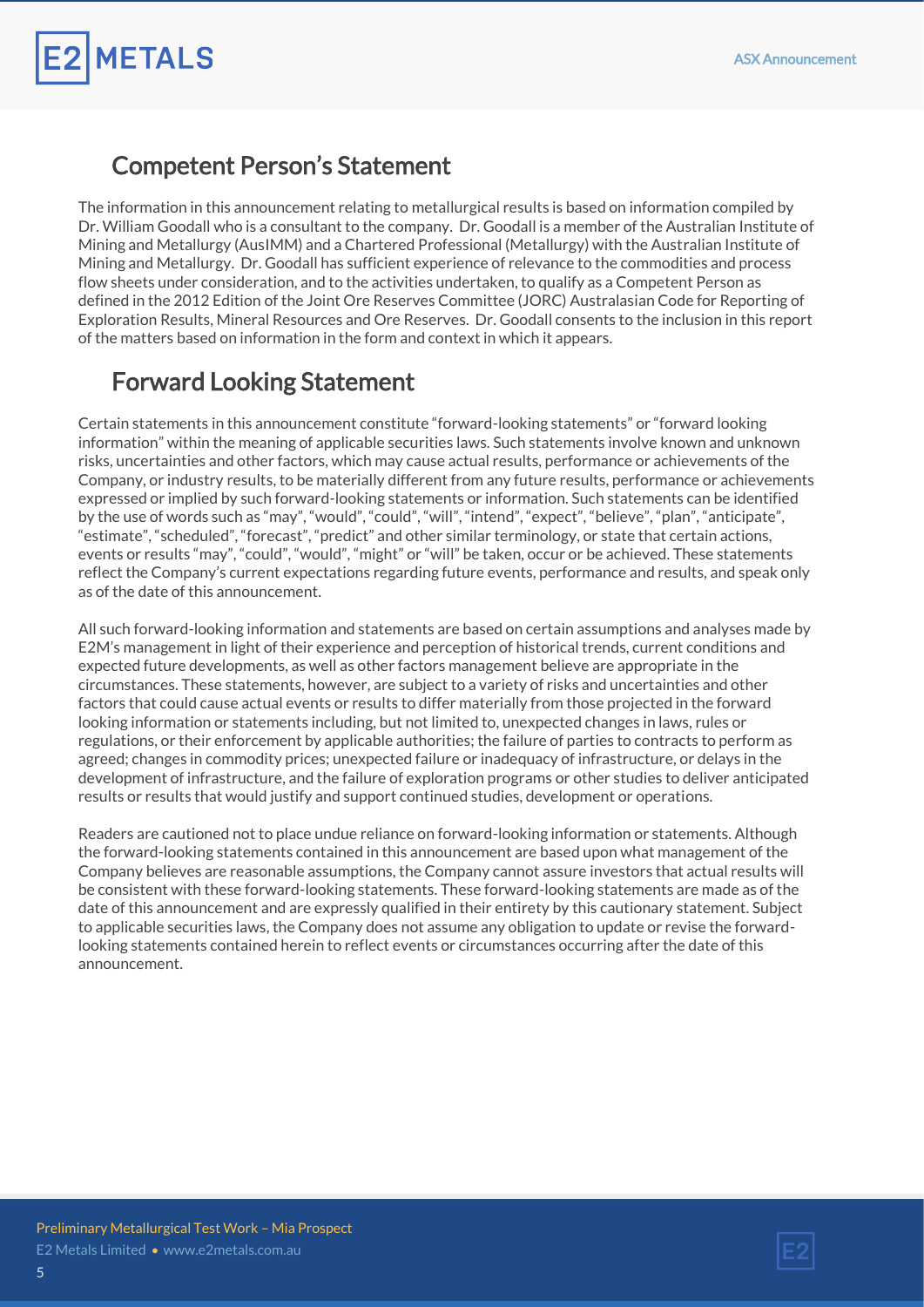### Competent Person's Statement

**METALS** 

The information in this announcement relating to metallurgical results is based on information compiled by Dr. William Goodall who is a consultant to the company. Dr. Goodall is a member of the Australian Institute of Mining and Metallurgy (AusIMM) and a Chartered Professional (Metallurgy) with the Australian Institute of Mining and Metallurgy. Dr. Goodall has sufficient experience of relevance to the commodities and process flow sheets under consideration, and to the activities undertaken, to qualify as a Competent Person as defined in the 2012 Edition of the Joint Ore Reserves Committee (JORC) Australasian Code for Reporting of Exploration Results, Mineral Resources and Ore Reserves. Dr. Goodall consents to the inclusion in this report of the matters based on information in the form and context in which it appears.

### Forward Looking Statement

Certain statements in this announcement constitute "forward-looking statements" or "forward looking information" within the meaning of applicable securities laws. Such statements involve known and unknown risks, uncertainties and other factors, which may cause actual results, performance or achievements of the Company, or industry results, to be materially different from any future results, performance or achievements expressed or implied by such forward-looking statements or information. Such statements can be identified by the use of words such as "may", "would", "could", "will", "intend", "expect", "believe", "plan", "anticipate", "estimate", "scheduled", "forecast", "predict" and other similar terminology, or state that certain actions, events or results "may", "could", "would", "might" or "will" be taken, occur or be achieved. These statements reflect the Company's current expectations regarding future events, performance and results, and speak only as of the date of this announcement.

All such forward-looking information and statements are based on certain assumptions and analyses made by E2M's management in light of their experience and perception of historical trends, current conditions and expected future developments, as well as other factors management believe are appropriate in the circumstances. These statements, however, are subject to a variety of risks and uncertainties and other factors that could cause actual events or results to differ materially from those projected in the forward looking information or statements including, but not limited to, unexpected changes in laws, rules or regulations, or their enforcement by applicable authorities; the failure of parties to contracts to perform as agreed; changes in commodity prices; unexpected failure or inadequacy of infrastructure, or delays in the development of infrastructure, and the failure of exploration programs or other studies to deliver anticipated results or results that would justify and support continued studies, development or operations.

Readers are cautioned not to place undue reliance on forward-looking information or statements. Although the forward-looking statements contained in this announcement are based upon what management of the Company believes are reasonable assumptions, the Company cannot assure investors that actual results will be consistent with these forward-looking statements. These forward-looking statements are made as of the date of this announcement and are expressly qualified in their entirety by this cautionary statement. Subject to applicable securities laws, the Company does not assume any obligation to update or revise the forwardlooking statements contained herein to reflect events or circumstances occurring after the date of this announcement.

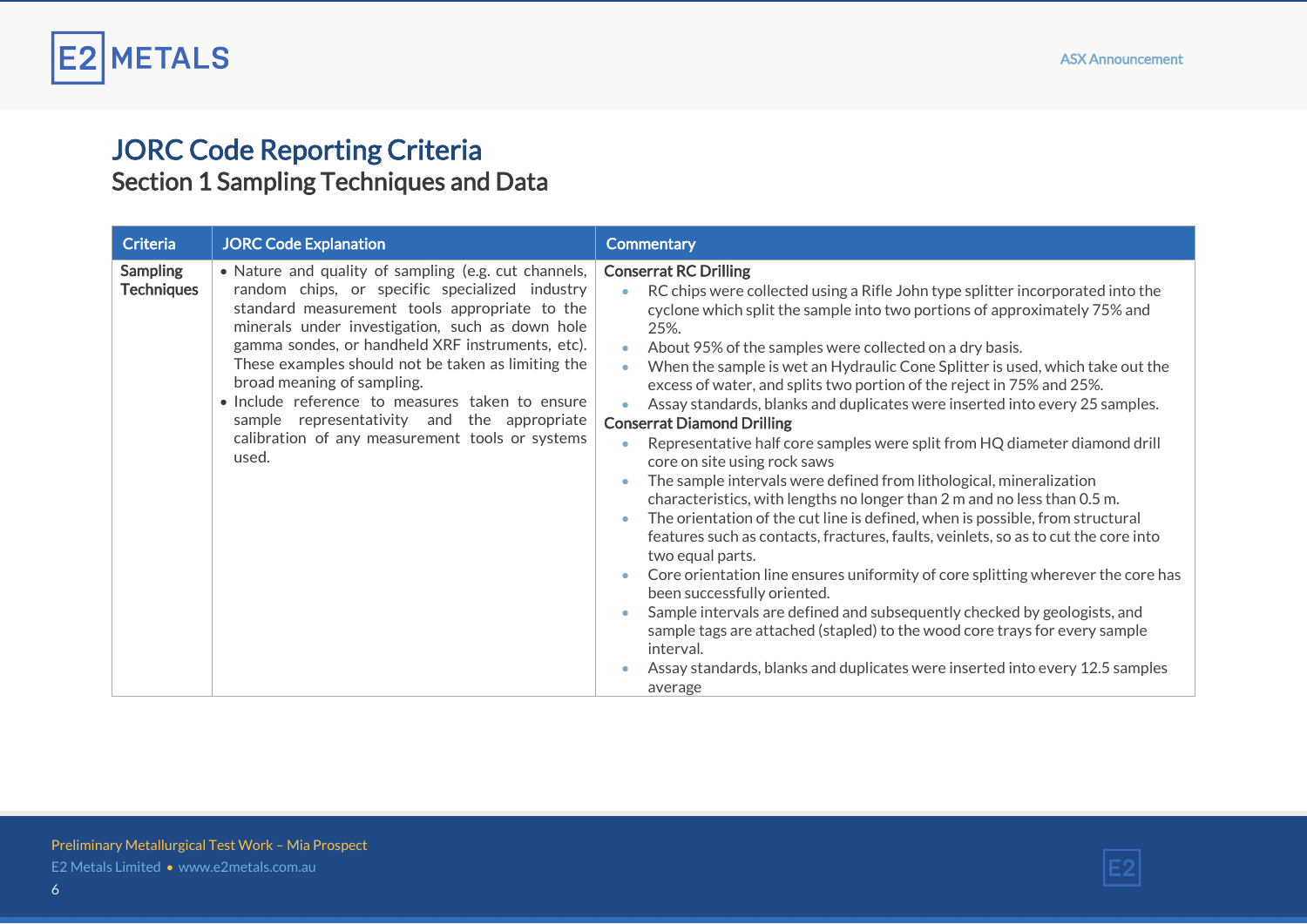

### JORC Code Reporting Criteria Section 1 Sampling Techniques and Data

| <b>Criteria</b>                      | <b>JORC Code Explanation</b>                                                                                                                                                                                                                                                                                                                                                                                                                                                                                     | <b>Commentary</b>                                                                                                                                                                                                                                                                                                                                                                                                                                                                                                                                                                                                                                                                                                                                                                                                                                                                                                                                                                                                                                                                                                                                                                                                                                                                                                                                                                                                                                                                                   |
|--------------------------------------|------------------------------------------------------------------------------------------------------------------------------------------------------------------------------------------------------------------------------------------------------------------------------------------------------------------------------------------------------------------------------------------------------------------------------------------------------------------------------------------------------------------|-----------------------------------------------------------------------------------------------------------------------------------------------------------------------------------------------------------------------------------------------------------------------------------------------------------------------------------------------------------------------------------------------------------------------------------------------------------------------------------------------------------------------------------------------------------------------------------------------------------------------------------------------------------------------------------------------------------------------------------------------------------------------------------------------------------------------------------------------------------------------------------------------------------------------------------------------------------------------------------------------------------------------------------------------------------------------------------------------------------------------------------------------------------------------------------------------------------------------------------------------------------------------------------------------------------------------------------------------------------------------------------------------------------------------------------------------------------------------------------------------------|
| <b>Sampling</b><br><b>Techniques</b> | • Nature and quality of sampling (e.g. cut channels,<br>random chips, or specific specialized industry<br>standard measurement tools appropriate to the<br>minerals under investigation, such as down hole<br>gamma sondes, or handheld XRF instruments, etc).<br>These examples should not be taken as limiting the<br>broad meaning of sampling.<br>• Include reference to measures taken to ensure<br>sample representativity and the appropriate<br>calibration of any measurement tools or systems<br>used. | <b>Conserrat RC Drilling</b><br>RC chips were collected using a Rifle John type splitter incorporated into the<br>$\bullet$<br>cyclone which split the sample into two portions of approximately 75% and<br>25%.<br>About 95% of the samples were collected on a dry basis.<br>$\bullet$<br>When the sample is wet an Hydraulic Cone Splitter is used, which take out the<br>$\bullet$<br>excess of water, and splits two portion of the reject in 75% and 25%.<br>Assay standards, blanks and duplicates were inserted into every 25 samples.<br><b>Conserrat Diamond Drilling</b><br>Representative half core samples were split from HQ diameter diamond drill<br>core on site using rock saws<br>The sample intervals were defined from lithological, mineralization<br>$\bullet$<br>characteristics, with lengths no longer than 2 m and no less than 0.5 m.<br>The orientation of the cut line is defined, when is possible, from structural<br>$\bullet$<br>features such as contacts, fractures, faults, veinlets, so as to cut the core into<br>two equal parts.<br>Core orientation line ensures uniformity of core splitting wherever the core has<br>$\bullet$<br>been successfully oriented.<br>Sample intervals are defined and subsequently checked by geologists, and<br>$\ddot{\phantom{a}}$<br>sample tags are attached (stapled) to the wood core trays for every sample<br>interval.<br>Assay standards, blanks and duplicates were inserted into every 12.5 samples<br>average |

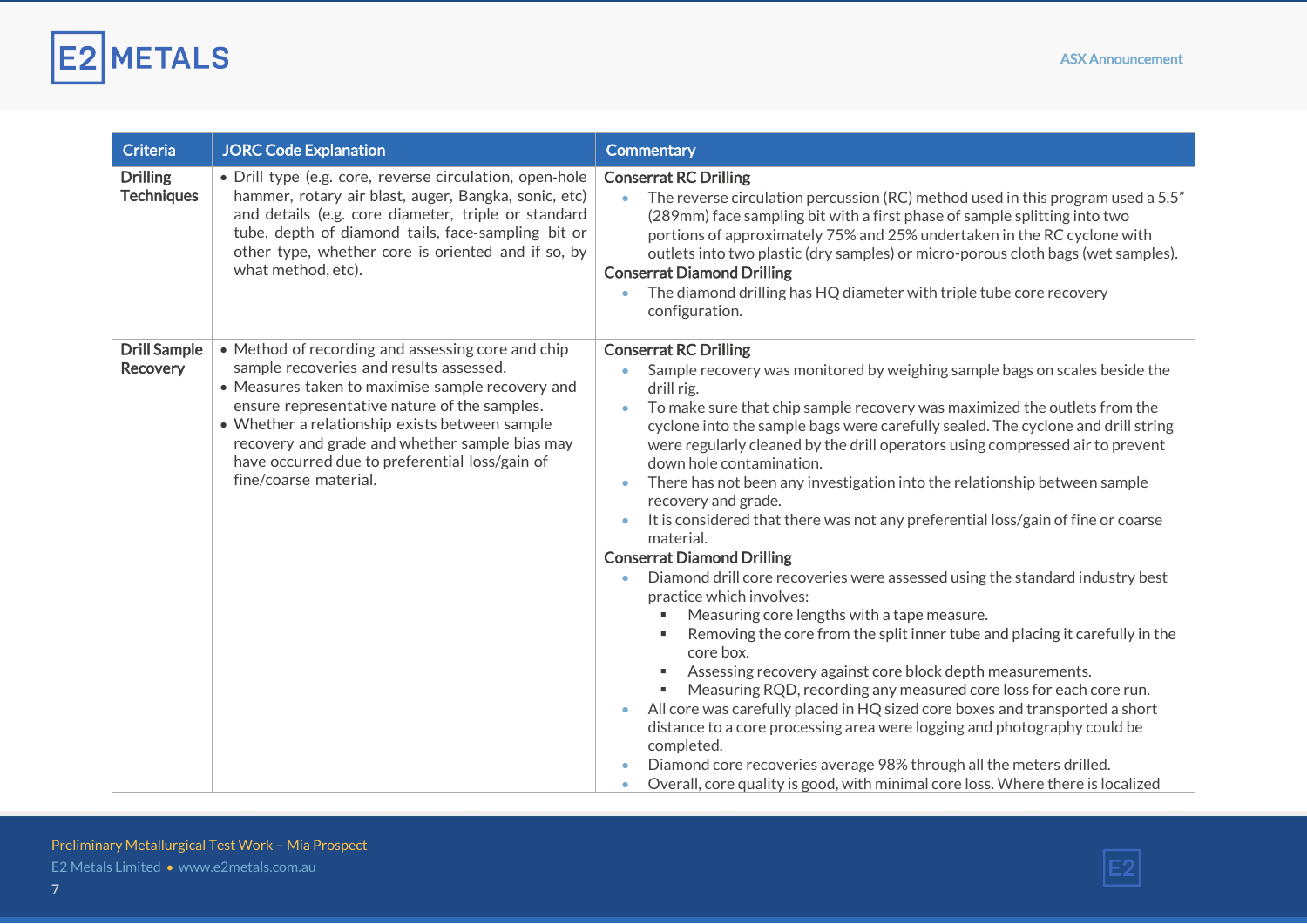

| <b>Criteria</b>                        | <b>JORC Code Explanation</b>                                                                                                                                                                                                                                                                                                                                                    | <b>Commentary</b>                                                                                                                                                                                                                                                                                                                                                                                                                                                                                                                                                                                                                                                                                                                                                                                      |
|----------------------------------------|---------------------------------------------------------------------------------------------------------------------------------------------------------------------------------------------------------------------------------------------------------------------------------------------------------------------------------------------------------------------------------|--------------------------------------------------------------------------------------------------------------------------------------------------------------------------------------------------------------------------------------------------------------------------------------------------------------------------------------------------------------------------------------------------------------------------------------------------------------------------------------------------------------------------------------------------------------------------------------------------------------------------------------------------------------------------------------------------------------------------------------------------------------------------------------------------------|
| <b>Drilling</b><br><b>Techniques</b>   | · Drill type (e.g. core, reverse circulation, open-hole<br>hammer, rotary air blast, auger, Bangka, sonic, etc)<br>and details (e.g. core diameter, triple or standard<br>tube, depth of diamond tails, face-sampling bit or<br>other type, whether core is oriented and if so, by<br>what method, etc).                                                                        | <b>Conserrat RC Drilling</b><br>The reverse circulation percussion (RC) method used in this program used a 5.5"<br>$\bullet$<br>(289mm) face sampling bit with a first phase of sample splitting into two<br>portions of approximately 75% and 25% undertaken in the RC cyclone with<br>outlets into two plastic (dry samples) or micro-porous cloth bags (wet samples).<br><b>Conserrat Diamond Drilling</b><br>The diamond drilling has HQ diameter with triple tube core recovery<br>$\bullet$<br>configuration.                                                                                                                                                                                                                                                                                    |
| <b>Drill Sample</b><br><b>Recovery</b> | • Method of recording and assessing core and chip<br>sample recoveries and results assessed.<br>• Measures taken to maximise sample recovery and<br>ensure representative nature of the samples.<br>• Whether a relationship exists between sample<br>recovery and grade and whether sample bias may<br>have occurred due to preferential loss/gain of<br>fine/coarse material. | <b>Conserrat RC Drilling</b><br>Sample recovery was monitored by weighing sample bags on scales beside the<br>$\bullet$<br>drill rig.<br>To make sure that chip sample recovery was maximized the outlets from the<br>cyclone into the sample bags were carefully sealed. The cyclone and drill string<br>were regularly cleaned by the drill operators using compressed air to prevent<br>down hole contamination.<br>There has not been any investigation into the relationship between sample<br>$\bullet$<br>recovery and grade.<br>It is considered that there was not any preferential loss/gain of fine or coarse<br>$\bullet$<br>material.                                                                                                                                                     |
|                                        |                                                                                                                                                                                                                                                                                                                                                                                 | <b>Conserrat Diamond Drilling</b><br>Diamond drill core recoveries were assessed using the standard industry best<br>$\bullet$<br>practice which involves:<br>Measuring core lengths with a tape measure.<br>Removing the core from the split inner tube and placing it carefully in the<br>core box.<br>Assessing recovery against core block depth measurements.<br>Measuring RQD, recording any measured core loss for each core run.<br>All core was carefully placed in HQ sized core boxes and transported a short<br>$\bullet$<br>distance to a core processing area were logging and photography could be<br>completed.<br>Diamond core recoveries average 98% through all the meters drilled.<br>Overall, core quality is good, with minimal core loss. Where there is localized<br>$\bullet$ |

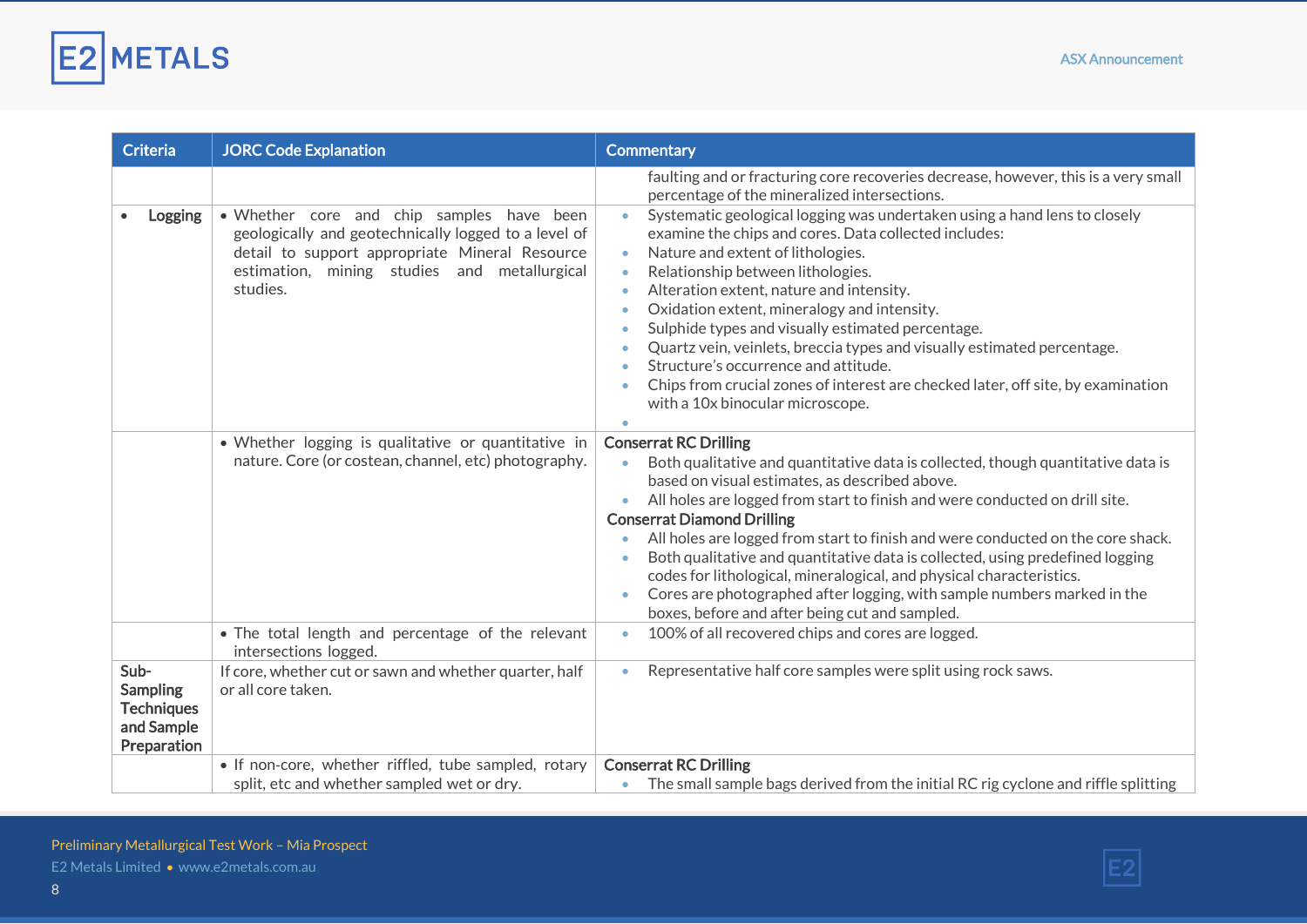

| <b>Criteria</b>                                                           | <b>JORC Code Explanation</b>                                                                                                                                                                                    | <b>Commentary</b>                                                                                                                                                                                                                                                                                                                                                                                                                                                                                                                                                                                                                                                                                                                                                                                                                                     |
|---------------------------------------------------------------------------|-----------------------------------------------------------------------------------------------------------------------------------------------------------------------------------------------------------------|-------------------------------------------------------------------------------------------------------------------------------------------------------------------------------------------------------------------------------------------------------------------------------------------------------------------------------------------------------------------------------------------------------------------------------------------------------------------------------------------------------------------------------------------------------------------------------------------------------------------------------------------------------------------------------------------------------------------------------------------------------------------------------------------------------------------------------------------------------|
| Logging                                                                   | . Whether core and chip samples have been<br>geologically and geotechnically logged to a level of<br>detail to support appropriate Mineral Resource<br>estimation, mining studies and metallurgical<br>studies. | faulting and or fracturing core recoveries decrease, however, this is a very small<br>percentage of the mineralized intersections.<br>Systematic geological logging was undertaken using a hand lens to closely<br>examine the chips and cores. Data collected includes:<br>Nature and extent of lithologies.<br>$\bullet$<br>Relationship between lithologies.<br>$\bullet$<br>Alteration extent, nature and intensity.<br>$\bullet$<br>Oxidation extent, mineralogy and intensity.<br>$\bullet$<br>Sulphide types and visually estimated percentage.<br>$\bullet$<br>Quartz vein, veinlets, breccia types and visually estimated percentage.<br>$\bullet$<br>Structure's occurrence and attitude.<br>Chips from crucial zones of interest are checked later, off site, by examination<br>$\bullet$<br>with a 10x binocular microscope.<br>$\bullet$ |
|                                                                           | • Whether logging is qualitative or quantitative in<br>nature. Core (or costean, channel, etc) photography.                                                                                                     | <b>Conserrat RC Drilling</b><br>Both qualitative and quantitative data is collected, though quantitative data is<br>based on visual estimates, as described above.<br>All holes are logged from start to finish and were conducted on drill site.<br>$\bullet$<br><b>Conserrat Diamond Drilling</b><br>All holes are logged from start to finish and were conducted on the core shack.<br>$\bullet$<br>Both qualitative and quantitative data is collected, using predefined logging<br>$\bullet$<br>codes for lithological, mineralogical, and physical characteristics.<br>Cores are photographed after logging, with sample numbers marked in the<br>$\bullet$<br>boxes, before and after being cut and sampled.                                                                                                                                   |
|                                                                           | • The total length and percentage of the relevant<br>intersections logged.                                                                                                                                      | 100% of all recovered chips and cores are logged.<br>$\bullet$                                                                                                                                                                                                                                                                                                                                                                                                                                                                                                                                                                                                                                                                                                                                                                                        |
| Sub-<br><b>Sampling</b><br><b>Techniques</b><br>and Sample<br>Preparation | If core, whether cut or sawn and whether quarter, half<br>or all core taken.                                                                                                                                    | Representative half core samples were split using rock saws.<br>$\bullet$                                                                                                                                                                                                                                                                                                                                                                                                                                                                                                                                                                                                                                                                                                                                                                             |
|                                                                           |                                                                                                                                                                                                                 |                                                                                                                                                                                                                                                                                                                                                                                                                                                                                                                                                                                                                                                                                                                                                                                                                                                       |
|                                                                           | • If non-core, whether riffled, tube sampled, rotary<br>split, etc and whether sampled wet or dry.                                                                                                              | <b>Conserrat RC Drilling</b><br>The small sample bags derived from the initial RC rig cyclone and riffle splitting<br>$\bullet$                                                                                                                                                                                                                                                                                                                                                                                                                                                                                                                                                                                                                                                                                                                       |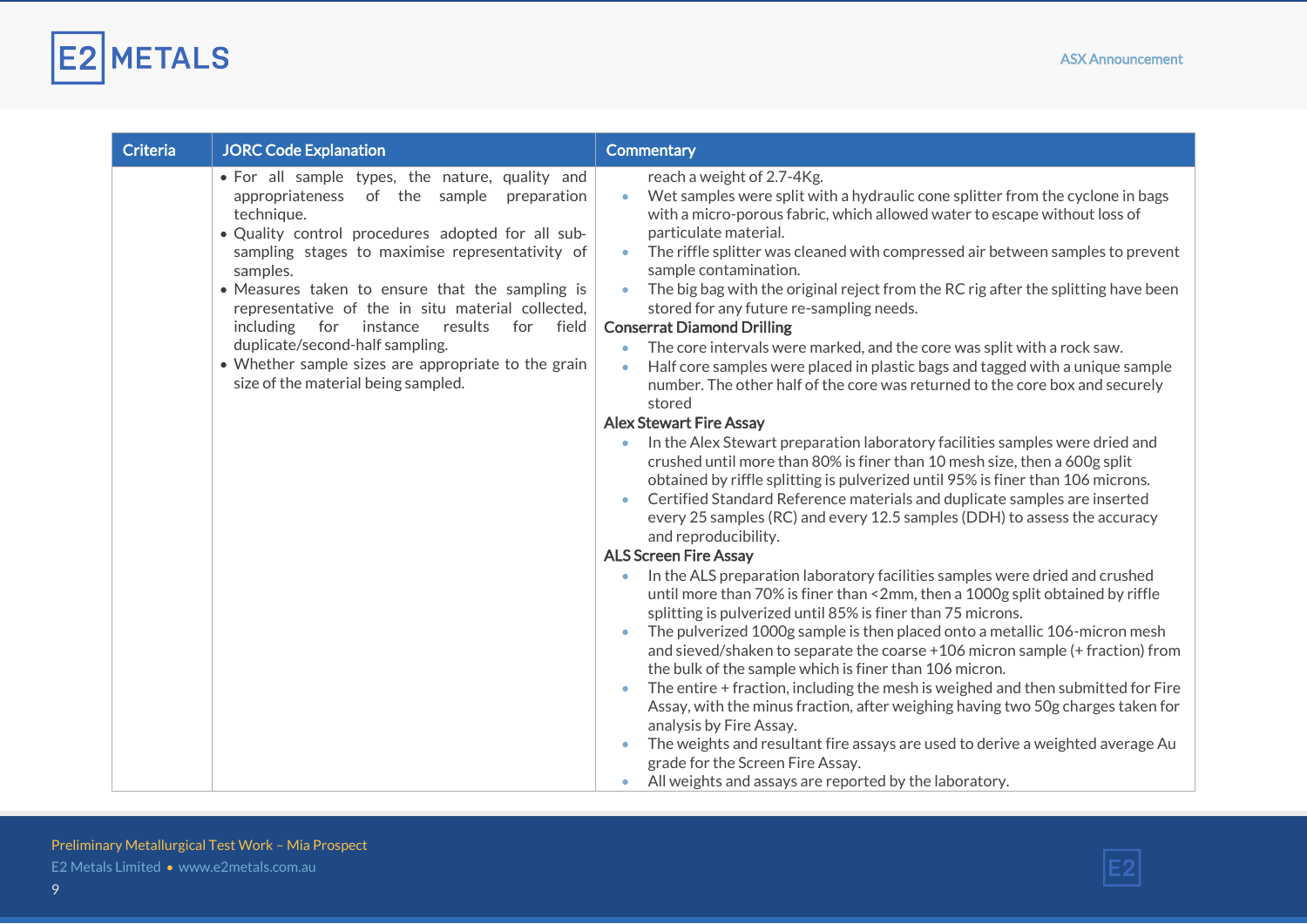

| <b>Criteria</b> | <b>JORC Code Explanation</b>                                                                                                                                                                                                                                                                                                                                                                                                                                                                                                          | <b>Commentary</b>                                                                                                                                                                                                                                                                                                                                                                                                                                                                                                                                                                                                                                                                                                                                                                                                                      |
|-----------------|---------------------------------------------------------------------------------------------------------------------------------------------------------------------------------------------------------------------------------------------------------------------------------------------------------------------------------------------------------------------------------------------------------------------------------------------------------------------------------------------------------------------------------------|----------------------------------------------------------------------------------------------------------------------------------------------------------------------------------------------------------------------------------------------------------------------------------------------------------------------------------------------------------------------------------------------------------------------------------------------------------------------------------------------------------------------------------------------------------------------------------------------------------------------------------------------------------------------------------------------------------------------------------------------------------------------------------------------------------------------------------------|
|                 | • For all sample types, the nature, quality and<br>of the sample<br>appropriateness<br>preparation<br>technique.<br>. Quality control procedures adopted for all sub-<br>sampling stages to maximise representativity of<br>samples.<br>• Measures taken to ensure that the sampling is<br>representative of the in situ material collected,<br>including<br>for<br>instance<br>results<br>for field<br>duplicate/second-half sampling.<br>• Whether sample sizes are appropriate to the grain<br>size of the material being sampled. | reach a weight of 2.7-4Kg.<br>Wet samples were split with a hydraulic cone splitter from the cyclone in bags<br>with a micro-porous fabric, which allowed water to escape without loss of<br>particulate material.<br>The riffle splitter was cleaned with compressed air between samples to prevent<br>$\bullet$<br>sample contamination.<br>The big bag with the original reject from the RC rig after the splitting have been<br>$\bullet$<br>stored for any future re-sampling needs.<br><b>Conserrat Diamond Drilling</b><br>The core intervals were marked, and the core was split with a rock saw.<br>Half core samples were placed in plastic bags and tagged with a unique sample<br>$\bullet$<br>number. The other half of the core was returned to the core box and securely<br>stored                                      |
|                 |                                                                                                                                                                                                                                                                                                                                                                                                                                                                                                                                       | <b>Alex Stewart Fire Assay</b>                                                                                                                                                                                                                                                                                                                                                                                                                                                                                                                                                                                                                                                                                                                                                                                                         |
|                 |                                                                                                                                                                                                                                                                                                                                                                                                                                                                                                                                       | In the Alex Stewart preparation laboratory facilities samples were dried and<br>crushed until more than 80% is finer than 10 mesh size, then a 600g split<br>obtained by riffle splitting is pulverized until 95% is finer than 106 microns.<br>Certified Standard Reference materials and duplicate samples are inserted<br>every 25 samples (RC) and every 12.5 samples (DDH) to assess the accuracy<br>and reproducibility.                                                                                                                                                                                                                                                                                                                                                                                                         |
|                 |                                                                                                                                                                                                                                                                                                                                                                                                                                                                                                                                       | <b>ALS Screen Fire Assay</b>                                                                                                                                                                                                                                                                                                                                                                                                                                                                                                                                                                                                                                                                                                                                                                                                           |
|                 |                                                                                                                                                                                                                                                                                                                                                                                                                                                                                                                                       | In the ALS preparation laboratory facilities samples were dried and crushed<br>until more than 70% is finer than <2mm, then a 1000g split obtained by riffle<br>splitting is pulverized until 85% is finer than 75 microns.<br>The pulverized 1000g sample is then placed onto a metallic 106-micron mesh<br>and sieved/shaken to separate the coarse +106 micron sample (+ fraction) from<br>the bulk of the sample which is finer than 106 micron.<br>The entire + fraction, including the mesh is weighed and then submitted for Fire<br>Assay, with the minus fraction, after weighing having two 50g charges taken for<br>analysis by Fire Assay.<br>The weights and resultant fire assays are used to derive a weighted average Au<br>grade for the Screen Fire Assay.<br>All weights and assays are reported by the laboratory. |

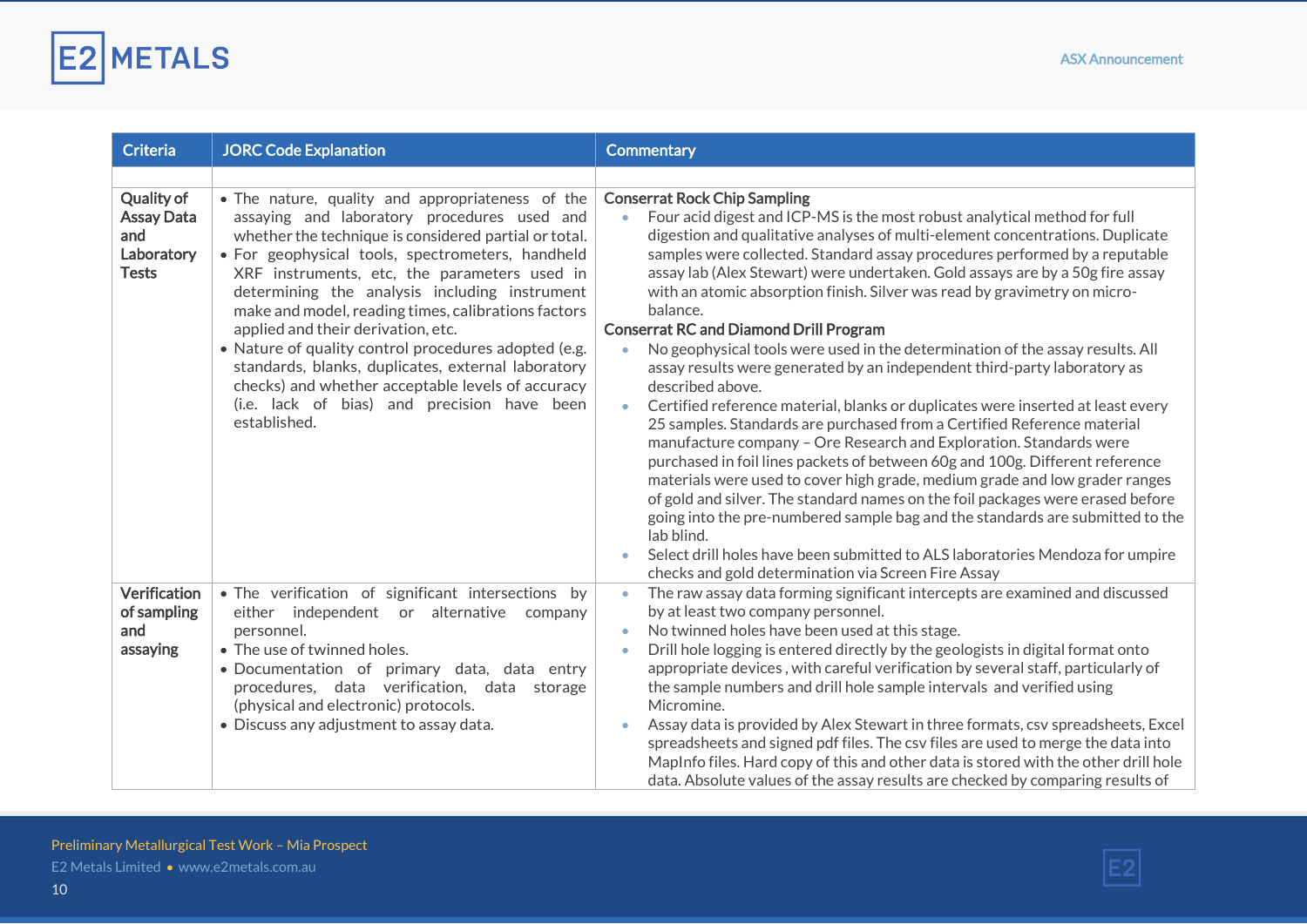

| <b>Criteria</b>                                                             | <b>JORC Code Explanation</b>                                                                                                                                                                                                                                                                                                                                                                                                                                                                                                                                                                                                                 | <b>Commentary</b>                                                                                                                                                                                                                                                                                                                                                                                                                                                                                                                                                                                                                                                                                                                                                                                                                                                                                                                                                                                                                                                                                                                                                                                                                                                                                                                                                                                                                                              |
|-----------------------------------------------------------------------------|----------------------------------------------------------------------------------------------------------------------------------------------------------------------------------------------------------------------------------------------------------------------------------------------------------------------------------------------------------------------------------------------------------------------------------------------------------------------------------------------------------------------------------------------------------------------------------------------------------------------------------------------|----------------------------------------------------------------------------------------------------------------------------------------------------------------------------------------------------------------------------------------------------------------------------------------------------------------------------------------------------------------------------------------------------------------------------------------------------------------------------------------------------------------------------------------------------------------------------------------------------------------------------------------------------------------------------------------------------------------------------------------------------------------------------------------------------------------------------------------------------------------------------------------------------------------------------------------------------------------------------------------------------------------------------------------------------------------------------------------------------------------------------------------------------------------------------------------------------------------------------------------------------------------------------------------------------------------------------------------------------------------------------------------------------------------------------------------------------------------|
|                                                                             |                                                                                                                                                                                                                                                                                                                                                                                                                                                                                                                                                                                                                                              |                                                                                                                                                                                                                                                                                                                                                                                                                                                                                                                                                                                                                                                                                                                                                                                                                                                                                                                                                                                                                                                                                                                                                                                                                                                                                                                                                                                                                                                                |
| <b>Quality of</b><br><b>Assay Data</b><br>and<br>Laboratory<br><b>Tests</b> | . The nature, quality and appropriateness of the<br>assaying and laboratory procedures used and<br>whether the technique is considered partial or total.<br>· For geophysical tools, spectrometers, handheld<br>XRF instruments, etc, the parameters used in<br>determining the analysis including instrument<br>make and model, reading times, calibrations factors<br>applied and their derivation, etc.<br>• Nature of quality control procedures adopted (e.g.<br>standards, blanks, duplicates, external laboratory<br>checks) and whether acceptable levels of accuracy<br>(i.e. lack of bias) and precision have been<br>established. | <b>Conserrat Rock Chip Sampling</b><br>Four acid digest and ICP-MS is the most robust analytical method for full<br>digestion and qualitative analyses of multi-element concentrations. Duplicate<br>samples were collected. Standard assay procedures performed by a reputable<br>assay lab (Alex Stewart) were undertaken. Gold assays are by a 50g fire assay<br>with an atomic absorption finish. Silver was read by gravimetry on micro-<br>balance.<br><b>Conserrat RC and Diamond Drill Program</b><br>No geophysical tools were used in the determination of the assay results. All<br>$\bullet$<br>assay results were generated by an independent third-party laboratory as<br>described above.<br>Certified reference material, blanks or duplicates were inserted at least every<br>$\bullet$<br>25 samples. Standards are purchased from a Certified Reference material<br>manufacture company - Ore Research and Exploration. Standards were<br>purchased in foil lines packets of between 60g and 100g. Different reference<br>materials were used to cover high grade, medium grade and low grader ranges<br>of gold and silver. The standard names on the foil packages were erased before<br>going into the pre-numbered sample bag and the standards are submitted to the<br>lab blind.<br>Select drill holes have been submitted to ALS laboratories Mendoza for umpire<br>$\bullet$<br>checks and gold determination via Screen Fire Assay |
| Verification<br>of sampling                                                 | . The verification of significant intersections by<br>either independent or alternative company                                                                                                                                                                                                                                                                                                                                                                                                                                                                                                                                              | The raw assay data forming significant intercepts are examined and discussed<br>$\bullet$<br>by at least two company personnel.                                                                                                                                                                                                                                                                                                                                                                                                                                                                                                                                                                                                                                                                                                                                                                                                                                                                                                                                                                                                                                                                                                                                                                                                                                                                                                                                |
| and                                                                         | personnel.                                                                                                                                                                                                                                                                                                                                                                                                                                                                                                                                                                                                                                   | No twinned holes have been used at this stage.<br>$\bullet$                                                                                                                                                                                                                                                                                                                                                                                                                                                                                                                                                                                                                                                                                                                                                                                                                                                                                                                                                                                                                                                                                                                                                                                                                                                                                                                                                                                                    |
| assaying                                                                    | • The use of twinned holes.                                                                                                                                                                                                                                                                                                                                                                                                                                                                                                                                                                                                                  | Drill hole logging is entered directly by the geologists in digital format onto<br>$\bullet$                                                                                                                                                                                                                                                                                                                                                                                                                                                                                                                                                                                                                                                                                                                                                                                                                                                                                                                                                                                                                                                                                                                                                                                                                                                                                                                                                                   |
|                                                                             | · Documentation of primary data, data entry<br>procedures, data verification, data storage<br>(physical and electronic) protocols.<br>• Discuss any adjustment to assay data.                                                                                                                                                                                                                                                                                                                                                                                                                                                                | appropriate devices, with careful verification by several staff, particularly of<br>the sample numbers and drill hole sample intervals and verified using<br>Micromine.<br>Assay data is provided by Alex Stewart in three formats, csv spreadsheets, Excel<br>$\bullet$<br>spreadsheets and signed pdf files. The csv files are used to merge the data into<br>MapInfo files. Hard copy of this and other data is stored with the other drill hole<br>data. Absolute values of the assay results are checked by comparing results of                                                                                                                                                                                                                                                                                                                                                                                                                                                                                                                                                                                                                                                                                                                                                                                                                                                                                                                          |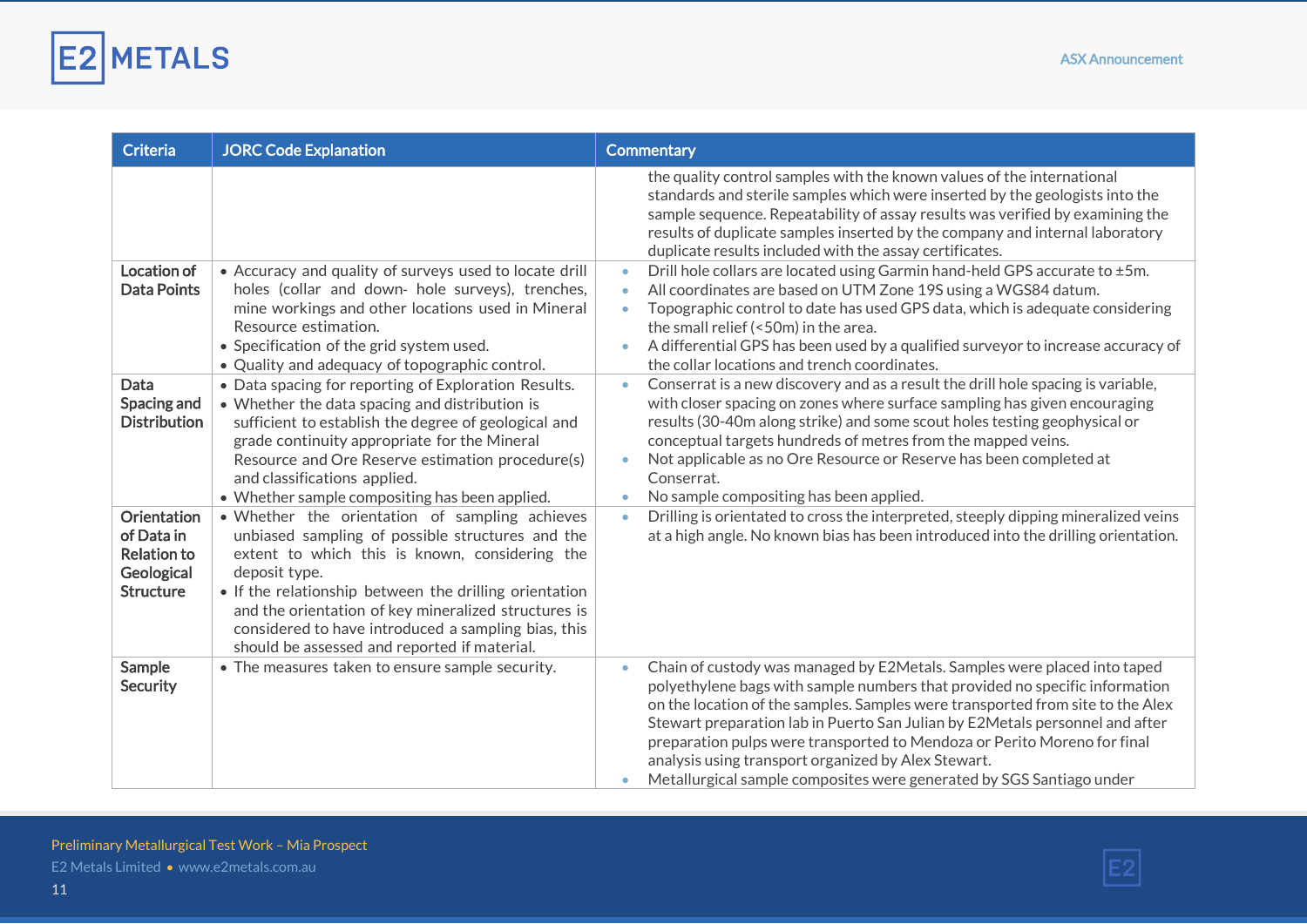

| <b>Criteria</b>                                                                          | <b>JORC Code Explanation</b>                                                                                                                                                                                                                                                                                                                                                                   | <b>Commentary</b>                                                                                                                                                                                                                                                                                                                                                                                                                                                                                                                                 |
|------------------------------------------------------------------------------------------|------------------------------------------------------------------------------------------------------------------------------------------------------------------------------------------------------------------------------------------------------------------------------------------------------------------------------------------------------------------------------------------------|---------------------------------------------------------------------------------------------------------------------------------------------------------------------------------------------------------------------------------------------------------------------------------------------------------------------------------------------------------------------------------------------------------------------------------------------------------------------------------------------------------------------------------------------------|
|                                                                                          |                                                                                                                                                                                                                                                                                                                                                                                                | the quality control samples with the known values of the international<br>standards and sterile samples which were inserted by the geologists into the<br>sample sequence. Repeatability of assay results was verified by examining the<br>results of duplicate samples inserted by the company and internal laboratory<br>duplicate results included with the assay certificates.                                                                                                                                                                |
| Location of<br><b>Data Points</b>                                                        | • Accuracy and quality of surveys used to locate drill<br>holes (collar and down- hole surveys), trenches,<br>mine workings and other locations used in Mineral<br>Resource estimation.<br>• Specification of the grid system used.<br>• Quality and adequacy of topographic control.                                                                                                          | Drill hole collars are located using Garmin hand-held GPS accurate to ±5m.<br>$\bullet$<br>All coordinates are based on UTM Zone 19S using a WGS84 datum.<br>$\bullet$<br>Topographic control to date has used GPS data, which is adequate considering<br>$\bullet$<br>the small relief (<50m) in the area.<br>A differential GPS has been used by a qualified surveyor to increase accuracy of<br>$\bullet$<br>the collar locations and trench coordinates.                                                                                      |
| Data<br>Spacing and<br><b>Distribution</b>                                               | • Data spacing for reporting of Exploration Results.<br>• Whether the data spacing and distribution is<br>sufficient to establish the degree of geological and<br>grade continuity appropriate for the Mineral<br>Resource and Ore Reserve estimation procedure(s)<br>and classifications applied.<br>• Whether sample compositing has been applied.                                           | Conserrat is a new discovery and as a result the drill hole spacing is variable,<br>$\bullet$<br>with closer spacing on zones where surface sampling has given encouraging<br>results (30-40m along strike) and some scout holes testing geophysical or<br>conceptual targets hundreds of metres from the mapped veins.<br>Not applicable as no Ore Resource or Reserve has been completed at<br>$\bullet$<br>Conserrat.<br>No sample compositing has been applied.                                                                               |
| <b>Orientation</b><br>of Data in<br><b>Relation to</b><br>Geological<br><b>Structure</b> | . Whether the orientation of sampling achieves<br>unbiased sampling of possible structures and the<br>extent to which this is known, considering the<br>deposit type.<br>• If the relationship between the drilling orientation<br>and the orientation of key mineralized structures is<br>considered to have introduced a sampling bias, this<br>should be assessed and reported if material. | Drilling is orientated to cross the interpreted, steeply dipping mineralized veins<br>$\bullet$<br>at a high angle. No known bias has been introduced into the drilling orientation.                                                                                                                                                                                                                                                                                                                                                              |
| Sample<br><b>Security</b>                                                                | • The measures taken to ensure sample security.                                                                                                                                                                                                                                                                                                                                                | Chain of custody was managed by E2Metals. Samples were placed into taped<br>$\bullet$<br>polyethylene bags with sample numbers that provided no specific information<br>on the location of the samples. Samples were transported from site to the Alex<br>Stewart preparation lab in Puerto San Julian by E2Metals personnel and after<br>preparation pulps were transported to Mendoza or Perito Moreno for final<br>analysis using transport organized by Alex Stewart.<br>Metallurgical sample composites were generated by SGS Santiago under |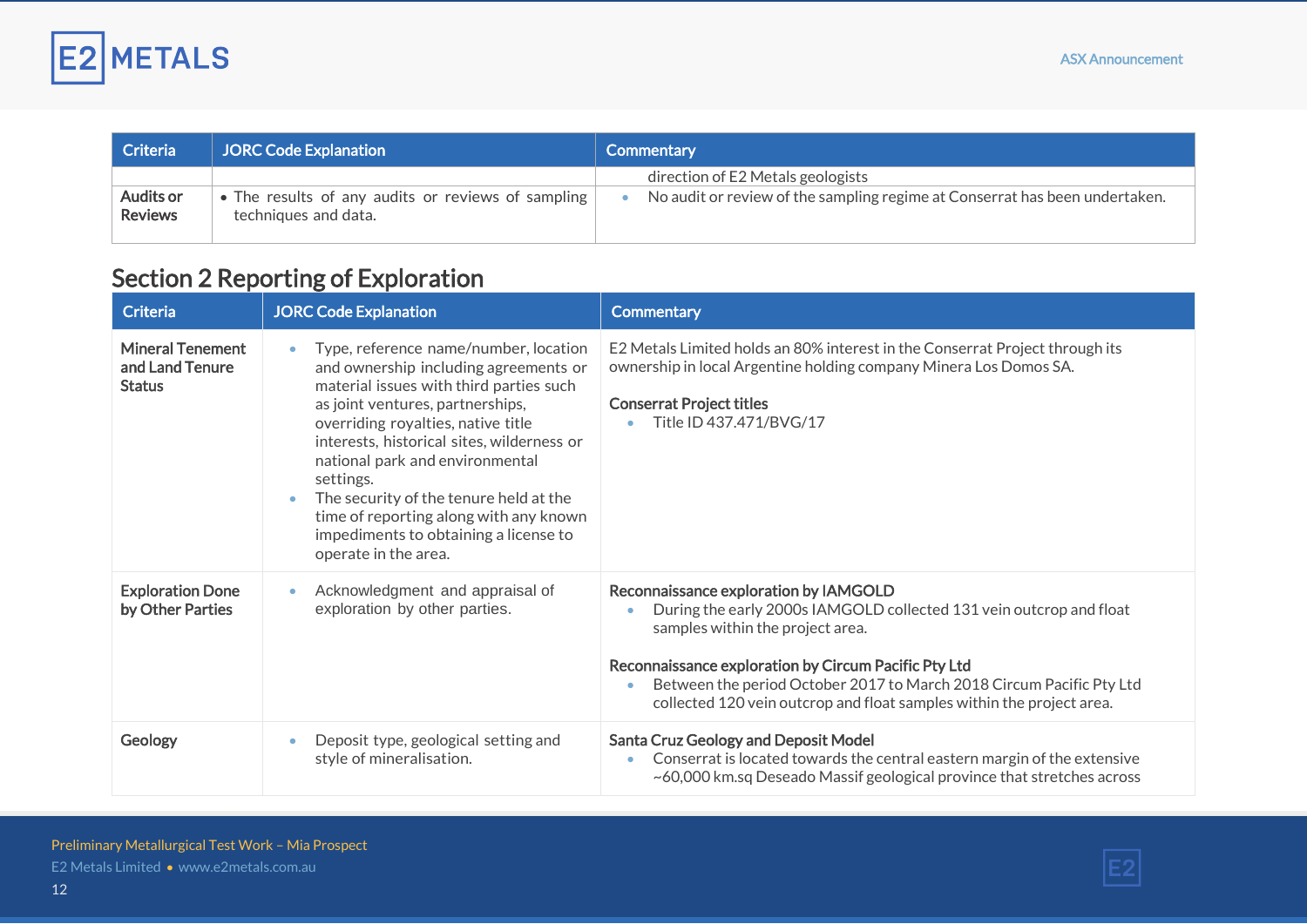

| Criteria                    | <b>JORC Code Explanation</b>                                               | Commentary                                                                  |
|-----------------------------|----------------------------------------------------------------------------|-----------------------------------------------------------------------------|
|                             |                                                                            | direction of E2 Metals geologists                                           |
| Audits or<br><b>Reviews</b> | • The results of any audits or reviews of sampling<br>techniques and data. | No audit or review of the sampling regime at Conserrat has been undertaken. |

## Section 2 Reporting of Exploration

| <b>Criteria</b>                                             | <b>JORC Code Explanation</b>                                                                                                                                                                                                                                                                                                                                                                                                                                                     | <b>Commentary</b>                                                                                                                                                                                                                                                                                                                                         |
|-------------------------------------------------------------|----------------------------------------------------------------------------------------------------------------------------------------------------------------------------------------------------------------------------------------------------------------------------------------------------------------------------------------------------------------------------------------------------------------------------------------------------------------------------------|-----------------------------------------------------------------------------------------------------------------------------------------------------------------------------------------------------------------------------------------------------------------------------------------------------------------------------------------------------------|
| <b>Mineral Tenement</b><br>and Land Tenure<br><b>Status</b> | Type, reference name/number, location<br>$\bullet$<br>and ownership including agreements or<br>material issues with third parties such<br>as joint ventures, partnerships,<br>overriding royalties, native title<br>interests, historical sites, wilderness or<br>national park and environmental<br>settings.<br>The security of the tenure held at the<br>$\bullet$<br>time of reporting along with any known<br>impediments to obtaining a license to<br>operate in the area. | E2 Metals Limited holds an 80% interest in the Conserrat Project through its<br>ownership in local Argentine holding company Minera Los Domos SA.<br><b>Conserrat Project titles</b><br>Title ID 437.471/BVG/17                                                                                                                                           |
| <b>Exploration Done</b><br>by Other Parties                 | Acknowledgment and appraisal of<br>exploration by other parties.                                                                                                                                                                                                                                                                                                                                                                                                                 | Reconnaissance exploration by IAMGOLD<br>During the early 2000s IAMGOLD collected 131 vein outcrop and float<br>samples within the project area.<br>Reconnaissance exploration by Circum Pacific Pty Ltd<br>Between the period October 2017 to March 2018 Circum Pacific Pty Ltd<br>collected 120 vein outcrop and float samples within the project area. |
| Geology                                                     | Deposit type, geological setting and<br>۰<br>style of mineralisation.                                                                                                                                                                                                                                                                                                                                                                                                            | <b>Santa Cruz Geology and Deposit Model</b><br>Conserrat is located towards the central eastern margin of the extensive<br>~60,000 km.sq Deseado Massif geological province that stretches across                                                                                                                                                         |

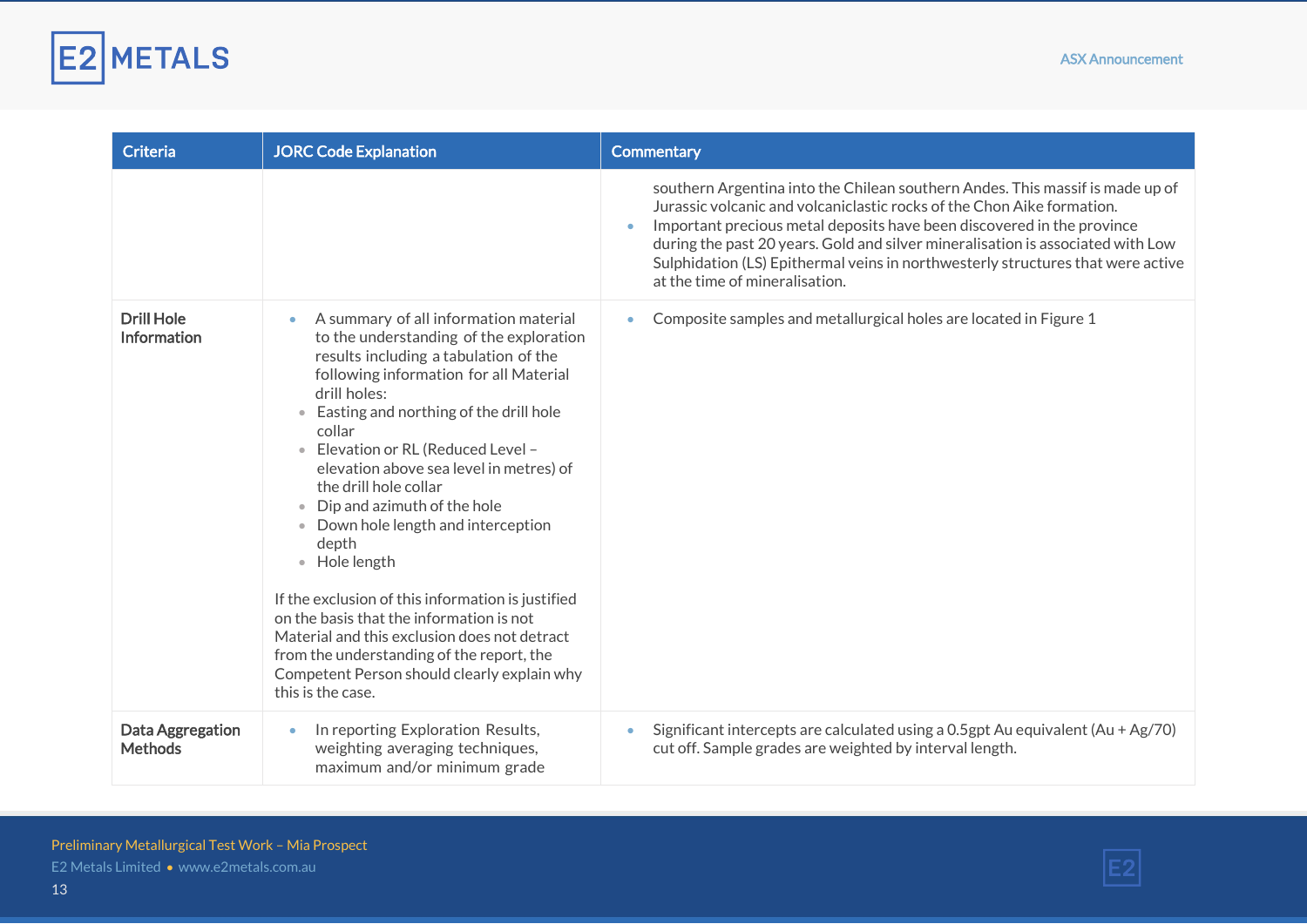

| <b>Criteria</b>                         | <b>JORC Code Explanation</b>                                                                                                                                                                                                                                                                                                                                                                                                                                                                                                                                                                                                                                                                                                         | <b>Commentary</b>                                                                                                                                                                                                                                                                                                                                                                                                                         |
|-----------------------------------------|--------------------------------------------------------------------------------------------------------------------------------------------------------------------------------------------------------------------------------------------------------------------------------------------------------------------------------------------------------------------------------------------------------------------------------------------------------------------------------------------------------------------------------------------------------------------------------------------------------------------------------------------------------------------------------------------------------------------------------------|-------------------------------------------------------------------------------------------------------------------------------------------------------------------------------------------------------------------------------------------------------------------------------------------------------------------------------------------------------------------------------------------------------------------------------------------|
|                                         |                                                                                                                                                                                                                                                                                                                                                                                                                                                                                                                                                                                                                                                                                                                                      | southern Argentina into the Chilean southern Andes. This massif is made up of<br>Jurassic volcanic and volcaniclastic rocks of the Chon Aike formation.<br>Important precious metal deposits have been discovered in the province<br>during the past 20 years. Gold and silver mineralisation is associated with Low<br>Sulphidation (LS) Epithermal veins in northwesterly structures that were active<br>at the time of mineralisation. |
| <b>Drill Hole</b><br><b>Information</b> | A summary of all information material<br>$\bullet$<br>to the understanding of the exploration<br>results including a tabulation of the<br>following information for all Material<br>drill holes:<br>• Easting and northing of the drill hole<br>collar<br>· Elevation or RL (Reduced Level -<br>elevation above sea level in metres) of<br>the drill hole collar<br>• Dip and azimuth of the hole<br>• Down hole length and interception<br>depth<br>• Hole length<br>If the exclusion of this information is justified<br>on the basis that the information is not<br>Material and this exclusion does not detract<br>from the understanding of the report, the<br>Competent Person should clearly explain why<br>this is the case. | Composite samples and metallurgical holes are located in Figure 1                                                                                                                                                                                                                                                                                                                                                                         |
| Data Aggregation<br><b>Methods</b>      | In reporting Exploration Results,<br>$\bullet$<br>weighting averaging techniques,<br>maximum and/or minimum grade                                                                                                                                                                                                                                                                                                                                                                                                                                                                                                                                                                                                                    | Significant intercepts are calculated using a 0.5gpt Au equivalent (Au + Ag/70)<br>cut off. Sample grades are weighted by interval length.                                                                                                                                                                                                                                                                                                |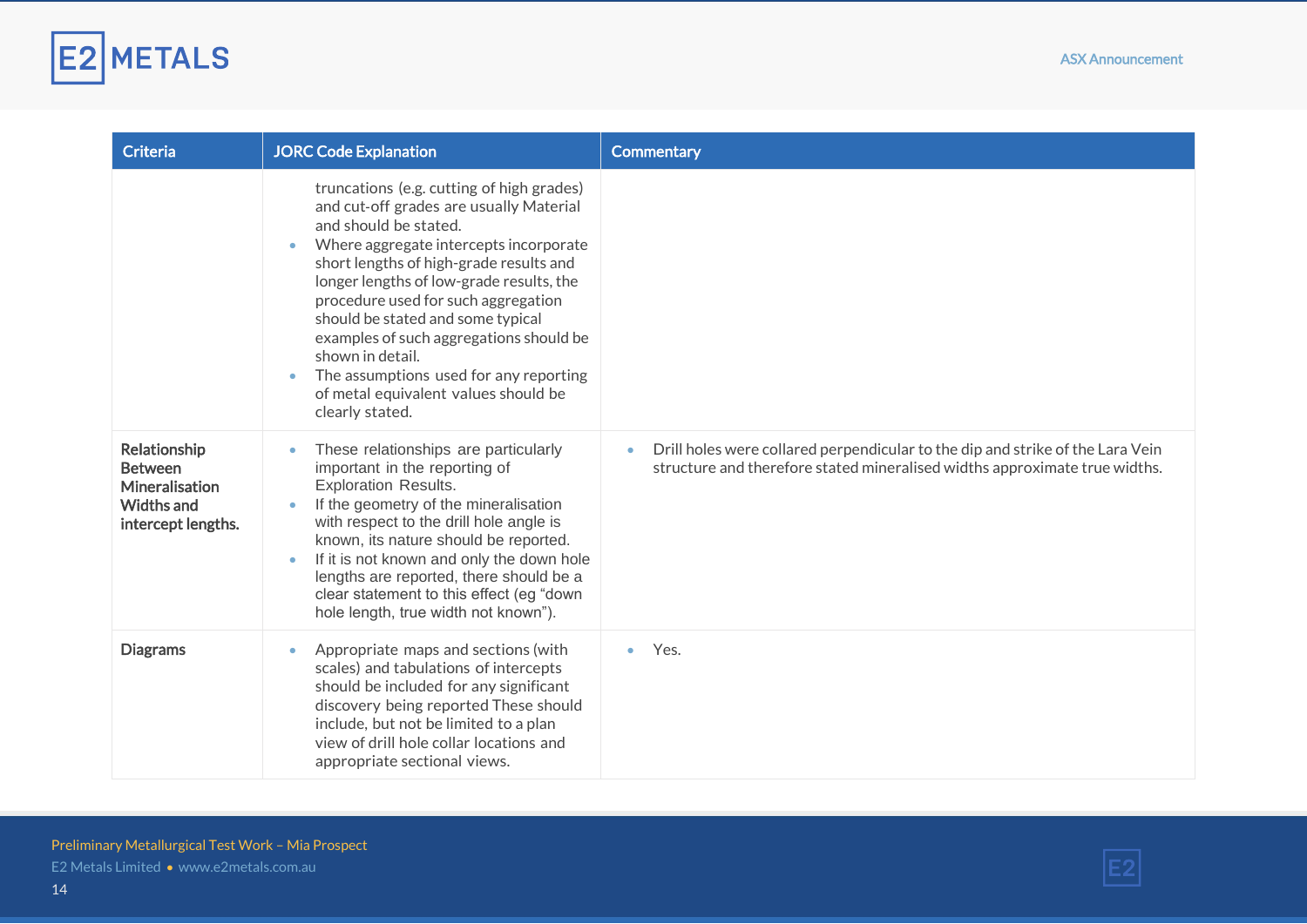

| <b>Criteria</b>                                                                      | <b>JORC Code Explanation</b>                                                                                                                                                                                                                                                                                                                                                                                                                                                                                             | <b>Commentary</b>                                                                                                                                            |
|--------------------------------------------------------------------------------------|--------------------------------------------------------------------------------------------------------------------------------------------------------------------------------------------------------------------------------------------------------------------------------------------------------------------------------------------------------------------------------------------------------------------------------------------------------------------------------------------------------------------------|--------------------------------------------------------------------------------------------------------------------------------------------------------------|
|                                                                                      | truncations (e.g. cutting of high grades)<br>and cut-off grades are usually Material<br>and should be stated.<br>Where aggregate intercepts incorporate<br>$\bullet$<br>short lengths of high-grade results and<br>longer lengths of low-grade results, the<br>procedure used for such aggregation<br>should be stated and some typical<br>examples of such aggregations should be<br>shown in detail.<br>The assumptions used for any reporting<br>$\bullet$<br>of metal equivalent values should be<br>clearly stated. |                                                                                                                                                              |
| Relationship<br><b>Between</b><br>Mineralisation<br>Widths and<br>intercept lengths. | These relationships are particularly<br>$\bullet$<br>important in the reporting of<br><b>Exploration Results.</b><br>If the geometry of the mineralisation<br>$\bullet$<br>with respect to the drill hole angle is<br>known, its nature should be reported.<br>If it is not known and only the down hole<br>$\bullet$<br>lengths are reported, there should be a<br>clear statement to this effect (eg "down<br>hole length, true width not known").                                                                     | Drill holes were collared perpendicular to the dip and strike of the Lara Vein<br>structure and therefore stated mineralised widths approximate true widths. |
| <b>Diagrams</b>                                                                      | Appropriate maps and sections (with<br>$\bullet$<br>scales) and tabulations of intercepts<br>should be included for any significant<br>discovery being reported These should<br>include, but not be limited to a plan<br>view of drill hole collar locations and<br>appropriate sectional views.                                                                                                                                                                                                                         | Yes.                                                                                                                                                         |